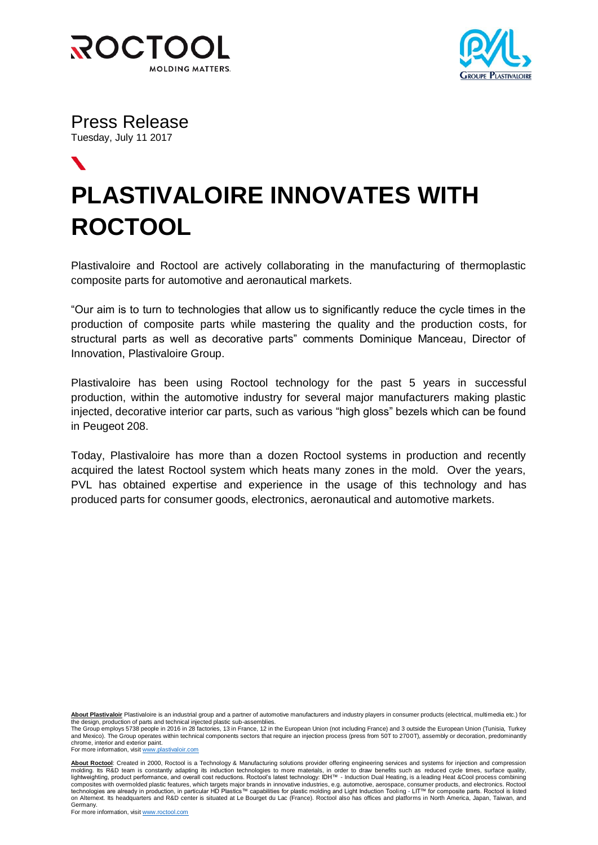



Press Release Tuesday, July 11 2017

## $\blacktriangledown$ **PLASTIVALOIRE INNOVATES WITH ROCTOOL**

Plastivaloire and Roctool are actively collaborating in the manufacturing of thermoplastic composite parts for automotive and aeronautical markets.

"Our aim is to turn to technologies that allow us to significantly reduce the cycle times in the production of composite parts while mastering the quality and the production costs, for structural parts as well as decorative parts" comments Dominique Manceau, Director of Innovation, Plastivaloire Group.

Plastivaloire has been using Roctool technology for the past 5 years in successful production, within the automotive industry for several major manufacturers making plastic injected, decorative interior car parts, such as various "high gloss" bezels which can be found in Peugeot 208.

Today, Plastivaloire has more than a dozen Roctool systems in production and recently acquired the latest Roctool system which heats many zones in the mold. Over the years, PVL has obtained expertise and experience in the usage of this technology and has produced parts for consumer goods, electronics, aeronautical and automotive markets.

**About Plastivaloir** Plastivaloire is an industrial group and a partner of automotive manufacturers and industry players in consumer products (electrical, multimedia etc.) for the design, production of parts and technical injected plastic sub-assemblies.

The Group employs 5738 people in 2016 in 28 factories, 13 in France, 12 in the European Union (not including France) and 3 outside the European Union (Tunisia, Turkey and Mexico). The Group operates within technical components sectors that require an injection process (press from 50T to 2700T), assembly or decoration, predominantly chrome, interior and exterior paint.

For more information, visi[t www.plastivaloir.com](http://www.plastivaloir.com/)

About Roctool: Created in 2000, Roctool is a Technology & Manufacturing solutions provider offering engineering services and systems for injection and compression molding. Its R&D team is constantly adapting its induction technologies to more materials, in order to draw benefits such as reduced cycle times, surface quality,<br>lightweighting, product performance, and overall cost redu composites with overmolded plastic features, which targets major brands in innovative industries, e.g. automotive, aerospace, consumer products, and electronics. Roctool technologies are already in production, in particular HD Plastics™ capabilities for plastic molding and Light Induction Tooling - LIT™ for composite parts. Roctool is listed<br>on Alternext. Its headquarters and R&D center i Germany.<br>For more information, visit <u>www.roctool.com</u>